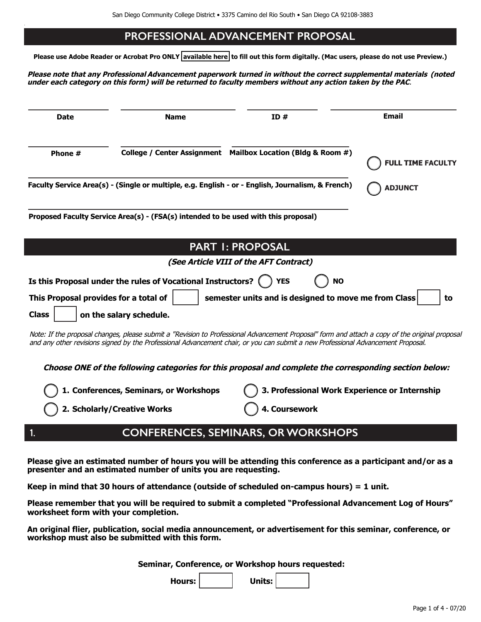#### **PROFESSIONAL ADVANCEMENT PROPOSAL**

**Please use Adobe Reader or Acrobat Pro ONLY [available here](https://acrobat.adobe.com/us/en/acrobat/pdf-reader.html) to fill out this form digitally. (Mac users, please do not use Preview.)**

**Please note that any Professional Advancement paperwork turned in without the correct supplemental materials (noted** under each category on this form) will be returned to faculty members without any action taken by the PAC.

| <b>Date</b>                           | <b>Name</b>                                                                        | ID#                                                                                                                                                                                                                                                                                | <b>Email</b>             |
|---------------------------------------|------------------------------------------------------------------------------------|------------------------------------------------------------------------------------------------------------------------------------------------------------------------------------------------------------------------------------------------------------------------------------|--------------------------|
| Phone #                               | <b>College / Center Assignment</b>                                                 | Mailbox Location (Bldg & Room #)                                                                                                                                                                                                                                                   | <b>FULL TIME FACULTY</b> |
|                                       |                                                                                    | Faculty Service Area(s) - (Single or multiple, e.g. English - or - English, Journalism, & French)                                                                                                                                                                                  | <b>ADJUNCT</b>           |
|                                       | Proposed Faculty Service Area(s) - (FSA(s) intended to be used with this proposal) |                                                                                                                                                                                                                                                                                    |                          |
|                                       |                                                                                    | <b>PART I: PROPOSAL</b>                                                                                                                                                                                                                                                            |                          |
|                                       |                                                                                    | (See Article VIII of the AFT Contract)                                                                                                                                                                                                                                             |                          |
|                                       | Is this Proposal under the rules of Vocational Instructors?                        | <b>YES</b><br><b>NO</b>                                                                                                                                                                                                                                                            |                          |
| This Proposal provides for a total of |                                                                                    | semester units and is designed to move me from Class                                                                                                                                                                                                                               | to                       |
| <b>Class</b>                          | on the salary schedule.                                                            |                                                                                                                                                                                                                                                                                    |                          |
|                                       |                                                                                    | Note: If the proposal changes, please submit a "Revision to Professional Advancement Proposal" form and attach a copy of the original proposal<br>and any other revisions signed by the Professional Advancement chair, or you can submit a new Professional Advancement Proposal. |                          |
|                                       |                                                                                    | Choose ONE of the following categories for this proposal and complete the corresponding section below:                                                                                                                                                                             |                          |
|                                       | 1. Conferences, Seminars, or Workshops                                             | 3. Professional Work Experience or Internship                                                                                                                                                                                                                                      |                          |
|                                       | 2. Scholarly/Creative Works                                                        | 4. Coursework                                                                                                                                                                                                                                                                      |                          |

#### **1. CONFERENCES, SEMINARS, OR WORKSHOPS**

**Please give an estimated number of hours you will be attending this conference as a participant and/or as a presenter and an estimated number of units you are requesting.** 

**Keep in mind that 30 hours of attendance (outside of scheduled on-campus hours) = 1 unit.** 

**Please remember that you will be required to submit a completed "Professional Advancement Log of Hours" worksheet form with your completion.**

**An original flier, publication, social media announcement, or advertisement for this seminar, conference, or workshop must also be submitted with this form.**

**Seminar, Conference, or Workshop hours requested:**

Hours: **Hours: + Units:**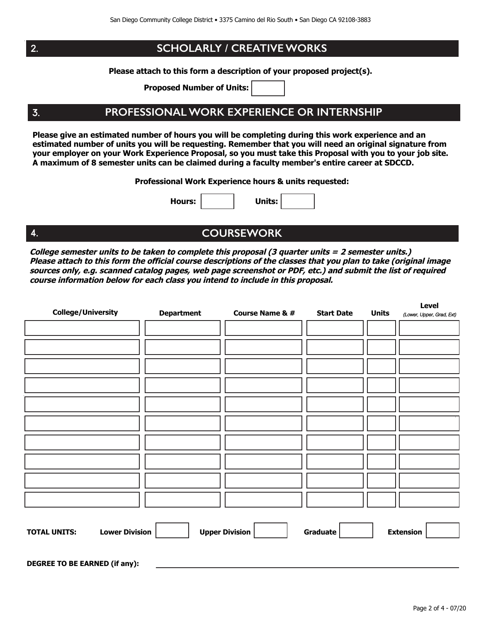$2.$ 

 $3.$ 

4.

#### **SCHOLARLY / CREATIVE WORKS**

Please attach to this form a description of your proposed project(s).

**Proposed Number of Units:** 

## PROFESSIONAL WORK EXPERIENCE OR INTERNSHIP

Please give an estimated number of hours you will be completing during this work experience and an estimated number of units you will be requesting. Remember that you will need an original signature from your employer on your Work Experience Proposal, so you must take this Proposal with you to your job site. A maximum of 8 semester units can be claimed during a faculty member's entire career at SDCCD.

Professional Work Experience hours & units requested:

**Hours:** 

Units:

# **COURSEWORK**

College semester units to be taken to complete this proposal (3 quarter units = 2 semester units.) Please attach to this form the official course descriptions of the classes that you plan to take (original image sources only, e.g. scanned catalog pages, web page screenshot or PDF, etc.) and submit the list of required course information below for each class you intend to include in this proposal.

| <b>College/University</b>                    | <b>Department</b> | <b>Course Name &amp; #</b> | <b>Start Date</b> | <b>Units</b> | Level<br>(Lower, Upper, Grad, Ext) |  |  |
|----------------------------------------------|-------------------|----------------------------|-------------------|--------------|------------------------------------|--|--|
|                                              |                   |                            |                   |              |                                    |  |  |
|                                              |                   |                            |                   |              |                                    |  |  |
|                                              |                   |                            |                   |              |                                    |  |  |
|                                              |                   |                            |                   |              |                                    |  |  |
|                                              |                   |                            |                   |              |                                    |  |  |
|                                              |                   |                            |                   |              |                                    |  |  |
|                                              |                   |                            |                   |              |                                    |  |  |
|                                              |                   |                            |                   |              |                                    |  |  |
|                                              |                   |                            |                   |              |                                    |  |  |
|                                              |                   |                            |                   |              |                                    |  |  |
|                                              |                   |                            |                   |              |                                    |  |  |
| <b>Lower Division</b><br><b>TOTAL UNITS:</b> |                   | <b>Upper Division</b>      | Graduate          |              | <b>Extension</b>                   |  |  |
|                                              |                   |                            |                   |              |                                    |  |  |
| <b>DEGREE TO BE EARNED (if any):</b>         |                   |                            |                   |              |                                    |  |  |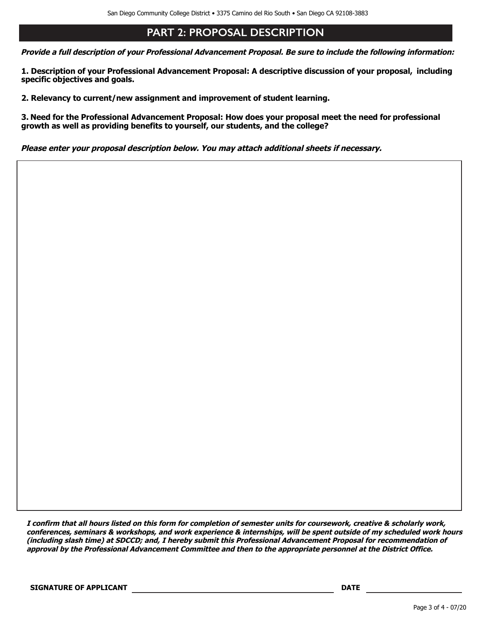## **PART 2: PROPOSAL DESCRIPTION**

Provide a full description of your Professional Advancement Proposal. Be sure to include the following information:

1. Description of your Professional Advancement Proposal: A descriptive discussion of your proposal, including specific objectives and goals.

2. Relevancy to current/new assignment and improvement of student learning.

3. Need for the Professional Advancement Proposal: How does your proposal meet the need for professional growth as well as providing benefits to yourself, our students, and the college?

Please enter your proposal description below. You may attach additional sheets if necessary.

I confirm that all hours listed on this form for completion of semester units for coursework, creative & scholarly work, conferences, seminars & workshops, and work experience & internships, will be spent outside of my scheduled work hours (including slash time) at SDCCD; and, I hereby submit this Professional Advancement Proposal for recommendation of approval by the Professional Advancement Committee and then to the appropriate personnel at the District Office.